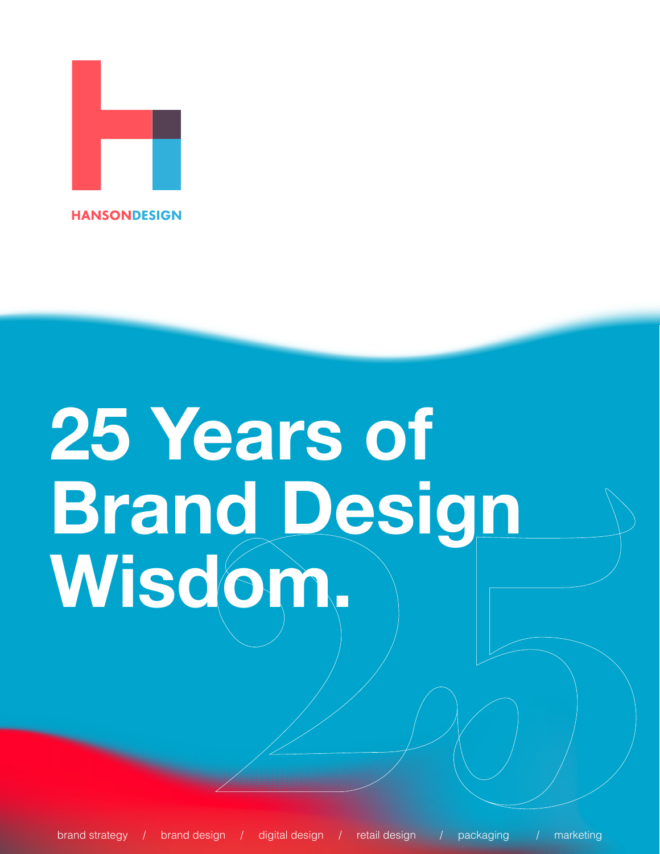

## **25 Years of Brand Design Wisdom.**

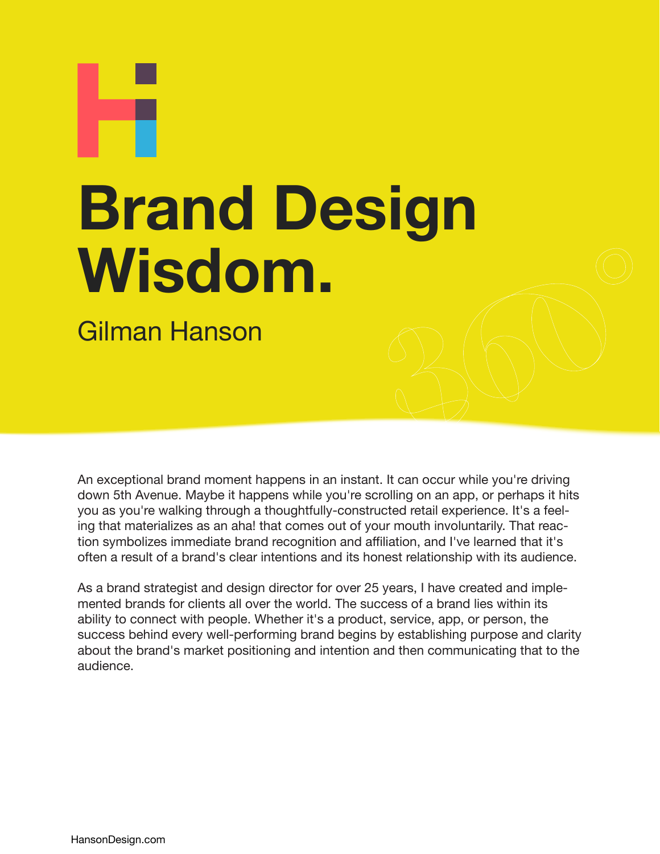# **Brand Design Wisdom.**

Gilman Hanson

An exceptional brand moment happens in an instant. It can occur while you're driving down 5th Avenue. Maybe it happens while you're scrolling on an app, or perhaps it hits you as you're walking through a thoughtfully-constructed retail experience. It's a feeling that materializes as an aha! that comes out of your mouth involuntarily. That reaction symbolizes immediate brand recognition and affiliation, and I've learned that it's often a result of a brand's clear intentions and its honest relationship with its audience.

As a brand strategist and design director for over 25 years, I have created and implemented brands for clients all over the world. The success of a brand lies within its ability to connect with people. Whether it's a product, service, app, or person, the success behind every well-performing brand begins by establishing purpose and clarity about the brand's market positioning and intention and then communicating that to the audience.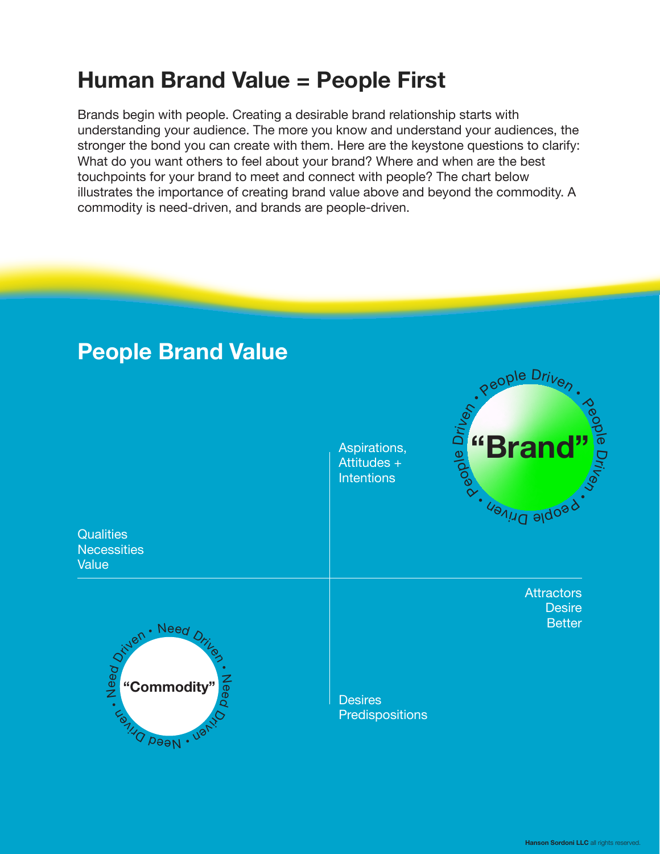#### **Human Brand Value = People First**

Brands begin with people. Creating a desirable brand relationship starts with understanding your audience. The more you know and understand your audiences, the stronger the bond you can create with them. Here are the keystone questions to clarify: What do you want others to feel about your brand? Where and when are the best touchpoints for your brand to meet and connect with people? The chart below illustrates the importance of creating brand value above and beyond the commodity. A commodity is need-driven, and brands are people-driven.

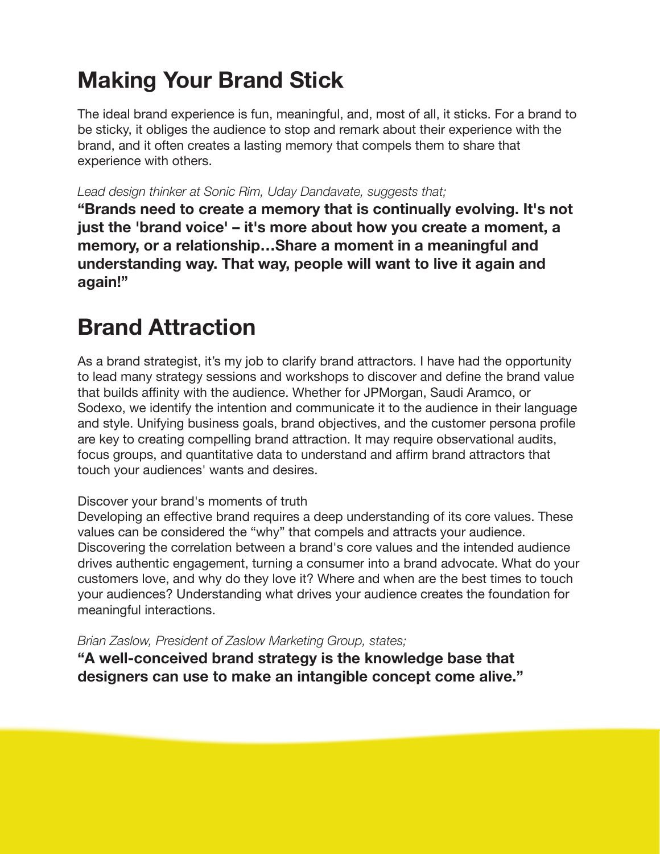## **Making Your Brand Stick**

The ideal brand experience is fun, meaningful, and, most of all, it sticks. For a brand to be sticky, it obliges the audience to stop and remark about their experience with the brand, and it often creates a lasting memory that compels them to share that experience with others.

*Lead design thinker at Sonic Rim, Uday Dandavate, suggests that;*

**"Brands need to create a memory that is continually evolving. It's not just the 'brand voice' – it's more about how you create a moment, a memory, or a relationship…Share a moment in a meaningful and understanding way. That way, people will want to live it again and again!"**

## **Brand Attraction**

As a brand strategist, it's my job to clarify brand attractors. I have had the opportunity to lead many strategy sessions and workshops to discover and define the brand value that builds affinity with the audience. Whether for JPMorgan, Saudi Aramco, or Sodexo, we identify the intention and communicate it to the audience in their language and style. Unifying business goals, brand objectives, and the customer persona profile are key to creating compelling brand attraction. It may require observational audits, focus groups, and quantitative data to understand and affirm brand attractors that touch your audiences' wants and desires.

#### Discover your brand's moments of truth

Developing an effective brand requires a deep understanding of its core values. These values can be considered the "why" that compels and attracts your audience. Discovering the correlation between a brand's core values and the intended audience drives authentic engagement, turning a consumer into a brand advocate. What do your customers love, and why do they love it? Where and when are the best times to touch your audiences? Understanding what drives your audience creates the foundation for meaningful interactions.

*Brian Zaslow, President of Zaslow Marketing Group, states;*

**"A well-conceived brand strategy is the knowledge base that designers can use to make an intangible concept come alive."**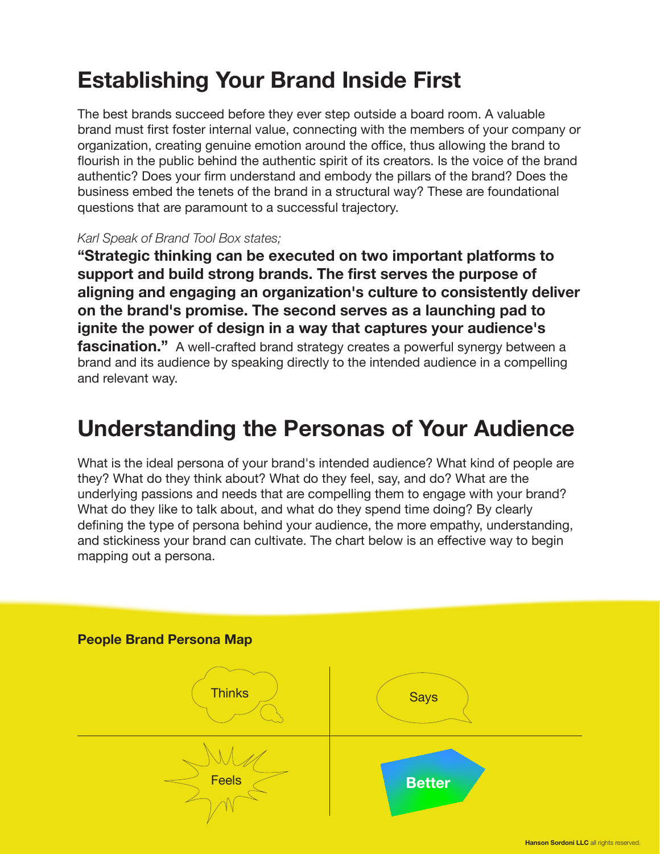#### **Establishing Your Brand Inside First**

The best brands succeed before they ever step outside a board room. A valuable brand must first foster internal value, connecting with the members of your company or organization, creating genuine emotion around the office, thus allowing the brand to flourish in the public behind the authentic spirit of its creators. Is the voice of the brand authentic? Does your firm understand and embody the pillars of the brand? Does the business embed the tenets of the brand in a structural way? These are foundational questions that are paramount to a successful trajectory.

#### *Karl Speak of Brand Tool Box states;*

**"Strategic thinking can be executed on two important platforms to support and build strong brands. The first serves the purpose of aligning and engaging an organization's culture to consistently deliver on the brand's promise. The second serves as a launching pad to ignite the power of design in a way that captures your audience's fascination.**" A well-crafted brand strategy creates a powerful synergy between a brand and its audience by speaking directly to the intended audience in a compelling and relevant way.

#### **Understanding the Personas of Your Audience**

What is the ideal persona of your brand's intended audience? What kind of people are they? What do they think about? What do they feel, say, and do? What are the underlying passions and needs that are compelling them to engage with your brand? What do they like to talk about, and what do they spend time doing? By clearly defining the type of persona behind your audience, the more empathy, understanding, and stickiness your brand can cultivate. The chart below is an effective way to begin mapping out a persona.

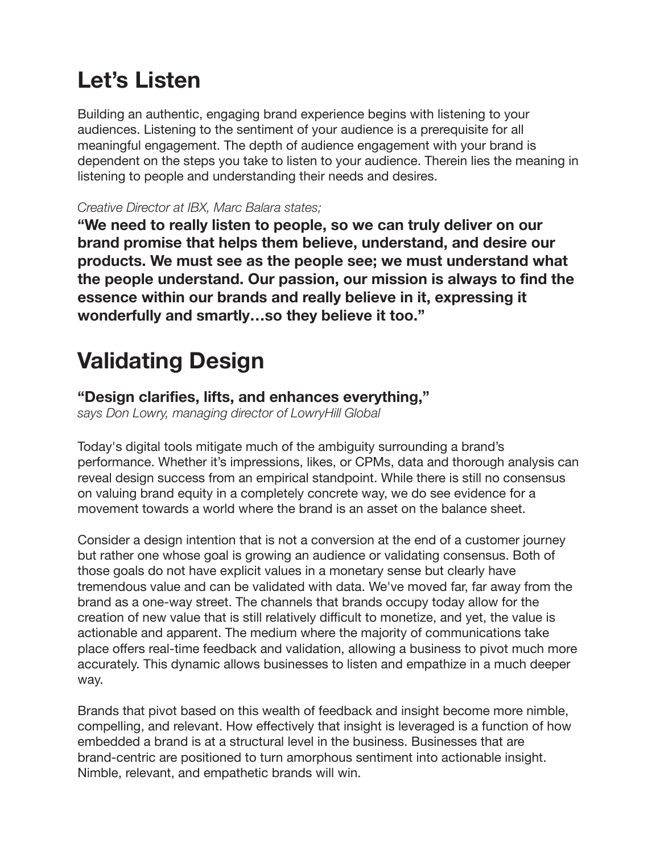### **Let's Listen**

Building an authentic, engaging brand experience begins with listening to your audiences. Listening to the sentiment of your audience is a prerequisite for all meaningful engagement. The depth of audience engagement with your brand is dependent on the steps you take to listen to your audience. Therein lies the meaning in listening to people and understanding their needs and desires.

#### *Creative Director at IBX, Marc Balara states;*

**"We need to really listen to people, so we can truly deliver on our brand promise that helps them believe, understand, and desire our products. We must see as the people see; we must understand what the people understand. Our passion, our mission is always to find the essence within our brands and really believe in it, expressing it wonderfully and smartly…so they believe it too."**

## **Validating Design**

#### **"Design clarifies, lifts, and enhances everything,"**

*says Don Lowry, managing director of LowryHill Global*

Today's digital tools mitigate much of the ambiguity surrounding a brand's performance. Whether it's impressions, likes, or CPMs, data and thorough analysis can reveal design success from an empirical standpoint. While there is still no consensus on valuing brand equity in a completely concrete way, we do see evidence for a movement towards a world where the brand is an asset on the balance sheet.

Consider a design intention that is not a conversion at the end of a customer journey but rather one whose goal is growing an audience or validating consensus. Both of those goals do not have explicit values in a monetary sense but clearly have tremendous value and can be validated with data. We've moved far, far away from the brand as a one-way street. The channels that brands occupy today allow for the creation of new value that is still relatively difficult to monetize, and yet, the value is actionable and apparent. The medium where the majority of communications take place offers real-time feedback and validation, allowing a business to pivot much more accurately. This dynamic allows businesses to listen and empathize in a much deeper way.

Brands that pivot based on this wealth of feedback and insight become more nimble, compelling, and relevant. How effectively that insight is leveraged is a function of how embedded a brand is at a structural level in the business. Businesses that are brand-centric are positioned to turn amorphous sentiment into actionable insight. Nimble, relevant, and empathetic brands will win.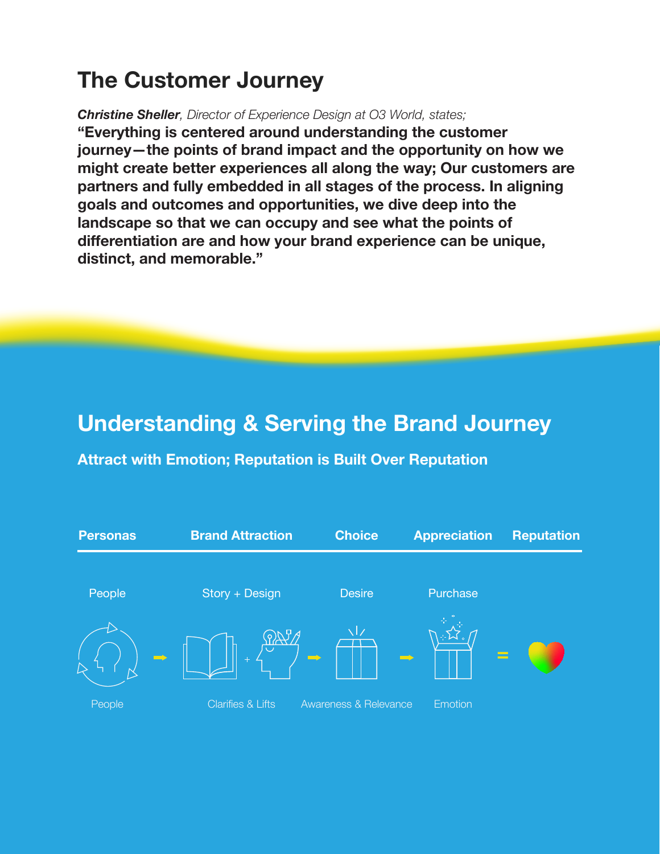### **The Customer Journey**

*Christine Sheller, Director of Experience Design at O3 World, states;*

**"Everything is centered around understanding the customer journey—the points of brand impact and the opportunity on how we might create better experiences all along the way; Our customers are partners and fully embedded in all stages of the process. In aligning goals and outcomes and opportunities, we dive deep into the landscape so that we can occupy and see what the points of differentiation are and how your brand experience can be unique, distinct, and memorable."**

#### **Understanding & Serving the Brand Journey**

**Attract with Emotion; Reputation is Built Over Reputation**

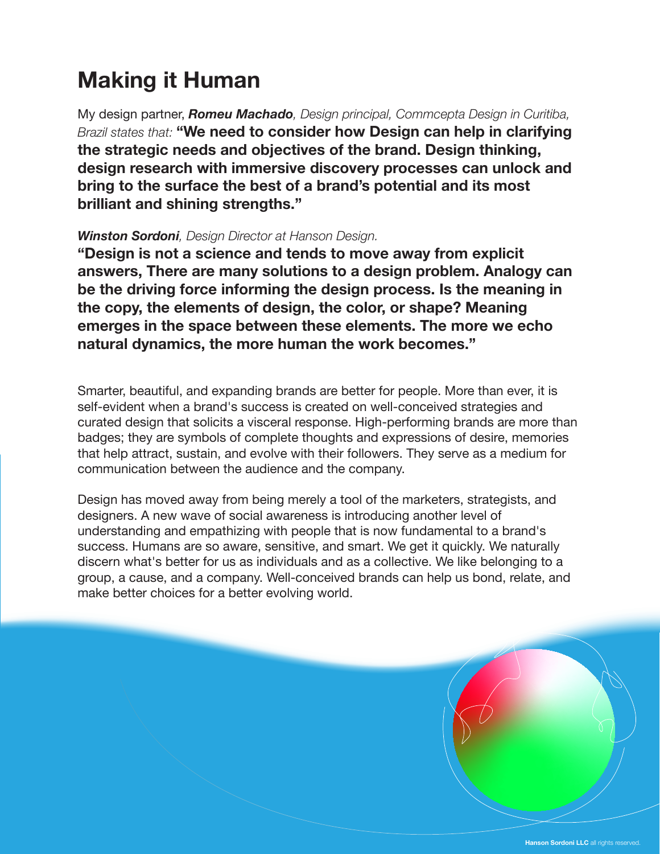## **Making it Human**

My design partner, *Romeu Machado, Design principal, Commcepta Design in Curitiba, Brazil states that:* **"We need to consider how Design can help in clarifying the strategic needs and objectives of the brand. Design thinking, design research with immersive discovery processes can unlock and bring to the surface the best of a brand's potential and its most brilliant and shining strengths."**

#### *Winston Sordoni, Design Director at Hanson Design.*

**"Design is not a science and tends to move away from explicit answers, There are many solutions to a design problem. Analogy can be the driving force informing the design process. Is the meaning in the copy, the elements of design, the color, or shape? Meaning emerges in the space between these elements. The more we echo natural dynamics, the more human the work becomes."** 

Smarter, beautiful, and expanding brands are better for people. More than ever, it is self-evident when a brand's success is created on well-conceived strategies and curated design that solicits a visceral response. High-performing brands are more than badges; they are symbols of complete thoughts and expressions of desire, memories that help attract, sustain, and evolve with their followers. They serve as a medium for communication between the audience and the company.

Design has moved away from being merely a tool of the marketers, strategists, and designers. A new wave of social awareness is introducing another level of understanding and empathizing with people that is now fundamental to a brand's success. Humans are so aware, sensitive, and smart. We get it quickly. We naturally discern what's better for us as individuals and as a collective. We like belonging to a group, a cause, and a company. Well-conceived brands can help us bond, relate, and make better choices for a better evolving world.